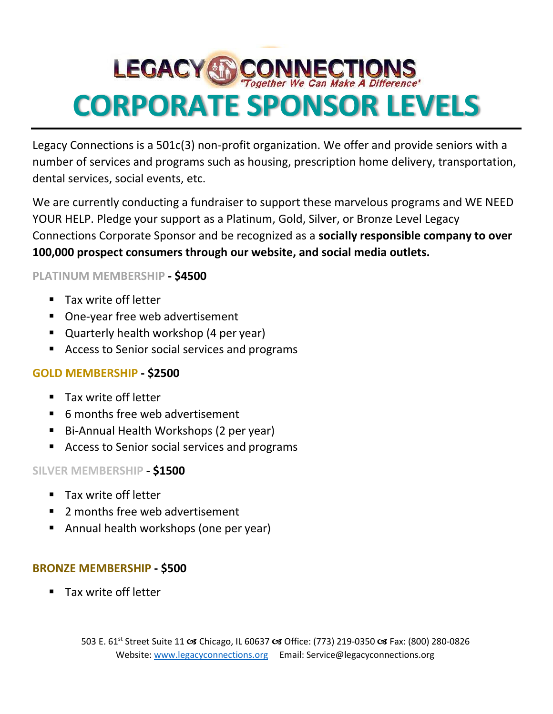# **LEGACY & CONNECTIONS CORPORATE SPONSOR LEVELS**

Legacy Connections is a 501c(3) non-profit organization. We offer and provide seniors with a number of services and programs such as housing, prescription home delivery, transportation, dental services, social events, etc.

We are currently conducting a fundraiser to support these marvelous programs and WE NEED YOUR HELP. Pledge your support as a Platinum, Gold, Silver, or Bronze Level Legacy Connections Corporate Sponsor and be recognized as a **socially responsible company to over 100,000 prospect consumers through our website, and social media outlets.**

### **PLATINUM MEMBERSHIP - \$4500**

- Tax write off letter
- One-year free web advertisement
- Quarterly health workshop (4 per year)
- Access to Senior social services and programs

### **GOLD MEMBERSHIP - \$2500**

- Tax write off letter
- 6 months free web advertisement
- Bi-Annual Health Workshops (2 per year)
- Access to Senior social services and programs

### **SILVER MEMBERSHIP - \$1500**

- Tax write off letter
- 2 months free web advertisement
- Annual health workshops (one per year)

### **BRONZE MEMBERSHIP - \$500**

Tax write off letter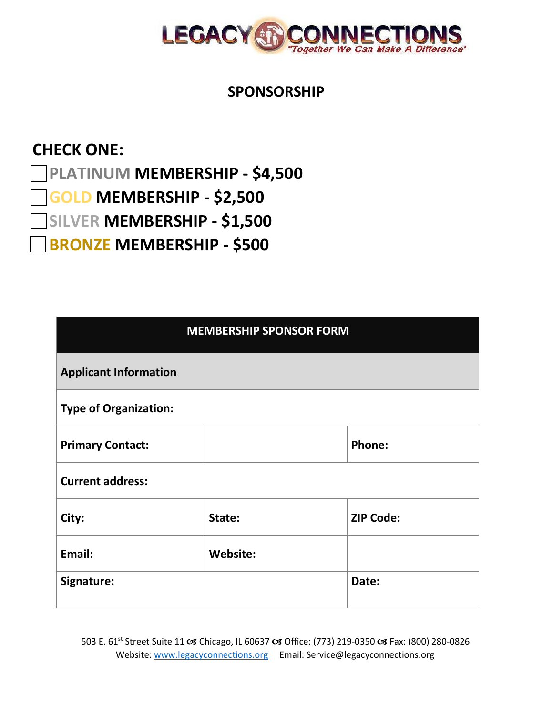

### **SPONSORSHIP**

## **CHECK ONE:**

**PLATINUM MEMBERSHIP - \$4,500** 

**GOLD MEMBERSHIP - \$2,500** 

**SILVER MEMBERSHIP - \$1,500** 

**BRONZE MEMBERSHIP - \$500**

| <b>MEMBERSHIP SPONSOR FORM</b> |                 |                  |  |
|--------------------------------|-----------------|------------------|--|
| <b>Applicant Information</b>   |                 |                  |  |
| <b>Type of Organization:</b>   |                 |                  |  |
| <b>Primary Contact:</b>        |                 | Phone:           |  |
| <b>Current address:</b>        |                 |                  |  |
| City:                          | State:          | <b>ZIP Code:</b> |  |
| Email:                         | <b>Website:</b> |                  |  |
| Signature:                     |                 | Date:            |  |

503 E. 61<sup>st</sup> Street Suite 11 **os** Chicago, IL 60637 **os** Office: (773) 219-0350 **os** Fax: (800) 280-0826 Website[: www.legacyconnections.org](http://www.legacyconnections.org/) Email: [Service@legacyconnections.org](mailto:Service@legacyconnections.org)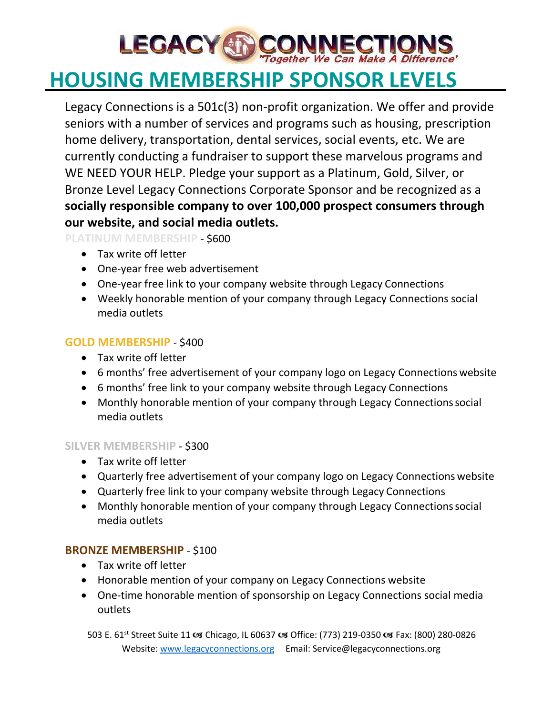# **LEGACY & CONNECTIO**

# **HOUSING MEMBERSHIP SPONSOR LEVELS**

Legacy Connections is a 501c(3) non-profit organization. We offer and provide seniors with a number of services and programs such as housing, prescription home delivery, transportation, dental services, social events, etc. We are currently conducting a fundraiser to support these marvelous programs and WE NEED YOUR HELP. Pledge your support as a Platinum, Gold, Silver, or Bronze Level Legacy Connections Corporate Sponsor and be recognized as a **socially responsible company to over 100,000 prospect consumers through our website, and social media outlets.**

**PLATINUM MEMBERSHIP** - \$600

- Tax write off letter
- One-year free web advertisement
- One-year free link to your company website through Legacy Connections
- Weekly honorable mention of your company through Legacy Connections social media outlets

### **GOLD MEMBERSHIP** - \$400

- Tax write off letter
- 6 months' free advertisement of your company logo on Legacy Connections website
- 6 months' free link to your company website through Legacy Connections
- Monthly honorable mention of your company through Legacy Connectionssocial media outlets

#### **SILVER MEMBERSHIP** - \$300

- Tax write off letter
- Quarterly free advertisement of your company logo on Legacy Connections website
- Quarterly free link to your company website through Legacy Connections
- Monthly honorable mention of your company through Legacy Connections social media outlets

### **BRONZE MEMBERSHIP** - \$100

- Tax write off letter
- Honorable mention of your company on Legacy Connections website
- One-time honorable mention of sponsorship on Legacy Connections social media outlets

503 E. 61<sup>st</sup> Street Suite 11 x Chicago, IL 60637 x Office: (773) 219-0350 x Fax: (800) 280-0826 Website[: www.legacyconnections.org](http://www.legacyconnections.org/) Email: [Service@legacyconnections.org](mailto:Service@legacyconnections.org)